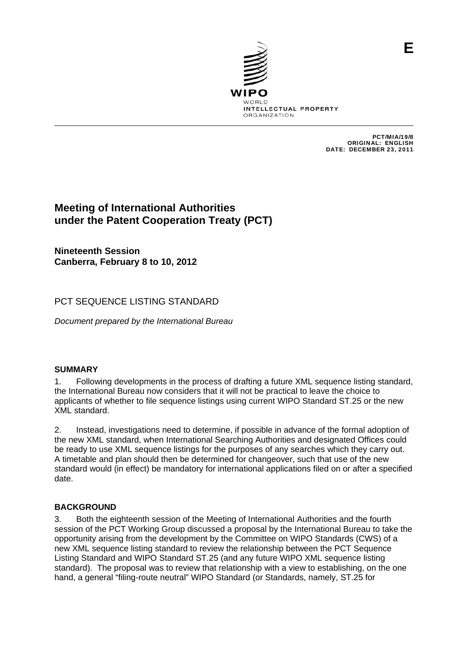

PCT/MIA/19/8 ORIGINAL: ENGLISH DATE: DECEMBER 23, 2011

# **Meeting of International Authorities under the Patent Cooperation Treaty (PCT)**

**Nineteenth Session Canberra, February 8 to 10, 2012** 

## PCT SEQUENCE LISTING STANDARD

*Document prepared by the International Bureau* 

## **SUMMARY**

1. Following developments in the process of drafting a future XML sequence listing standard, the International Bureau now considers that it will not be practical to leave the choice to applicants of whether to file sequence listings using current WIPO Standard ST.25 or the new XML standard.

2. Instead, investigations need to determine, if possible in advance of the formal adoption of the new XML standard, when International Searching Authorities and designated Offices could be ready to use XML sequence listings for the purposes of any searches which they carry out. A timetable and plan should then be determined for changeover, such that use of the new standard would (in effect) be mandatory for international applications filed on or after a specified date.

## **BACKGROUND**

3. Both the eighteenth session of the Meeting of International Authorities and the fourth session of the PCT Working Group discussed a proposal by the International Bureau to take the opportunity arising from the development by the Committee on WIPO Standards (CWS) of a new XML sequence listing standard to review the relationship between the PCT Sequence Listing Standard and WIPO Standard ST.25 (and any future WIPO XML sequence listing standard). The proposal was to review that relationship with a view to establishing, on the one hand, a general "filing-route neutral" WIPO Standard (or Standards, namely, ST.25 for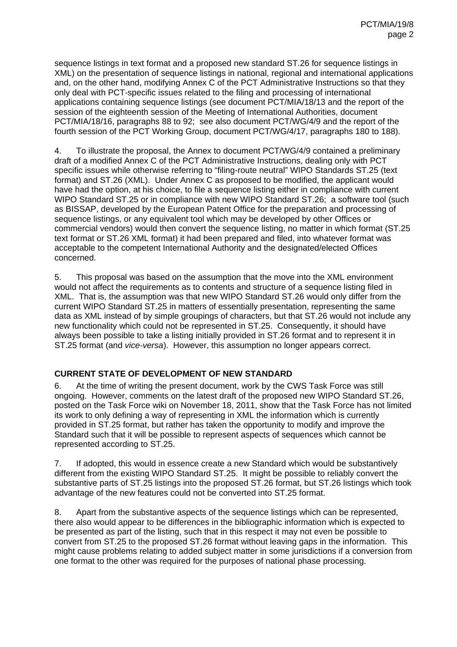sequence listings in text format and a proposed new standard ST.26 for sequence listings in XML) on the presentation of sequence listings in national, regional and international applications and, on the other hand, modifying Annex C of the PCT Administrative Instructions so that they only deal with PCT-specific issues related to the filing and processing of international applications containing sequence listings (see document PCT/MIA/18/13 and the report of the session of the eighteenth session of the Meeting of International Authorities, document PCT/MIA/18/16, paragraphs 88 to 92; see also document PCT/WG/4/9 and the report of the fourth session of the PCT Working Group, document PCT/WG/4/17, paragraphs 180 to 188).

4. To illustrate the proposal, the Annex to document PCT/WG/4/9 contained a preliminary draft of a modified Annex C of the PCT Administrative Instructions, dealing only with PCT specific issues while otherwise referring to "filing-route neutral" WIPO Standards ST.25 (text format) and ST.26 (XML). Under Annex C as proposed to be modified, the applicant would have had the option, at his choice, to file a sequence listing either in compliance with current WIPO Standard ST.25 or in compliance with new WIPO Standard ST.26; a software tool (such as BISSAP, developed by the European Patent Office for the preparation and processing of sequence listings, or any equivalent tool which may be developed by other Offices or commercial vendors) would then convert the sequence listing, no matter in which format (ST.25 text format or ST.26 XML format) it had been prepared and filed, into whatever format was acceptable to the competent International Authority and the designated/elected Offices concerned.

5. This proposal was based on the assumption that the move into the XML environment would not affect the requirements as to contents and structure of a sequence listing filed in XML. That is, the assumption was that new WIPO Standard ST.26 would only differ from the current WIPO Standard ST.25 in matters of essentially presentation, representing the same data as XML instead of by simple groupings of characters, but that ST.26 would not include any new functionality which could not be represented in ST.25. Consequently, it should have always been possible to take a listing initially provided in ST.26 format and to represent it in ST.25 format (and *vice-versa*). However, this assumption no longer appears correct.

#### **CURRENT STATE OF DEVELOPMENT OF NEW STANDARD**

6. At the time of writing the present document, work by the CWS Task Force was still ongoing. However, comments on the latest draft of the proposed new WIPO Standard ST.26, posted on the Task Force wiki on November 18, 2011, show that the Task Force has not limited its work to only defining a way of representing in XML the information which is currently provided in ST.25 format, but rather has taken the opportunity to modify and improve the Standard such that it will be possible to represent aspects of sequences which cannot be represented according to ST.25.

7. If adopted, this would in essence create a new Standard which would be substantively different from the existing WIPO Standard ST.25. It might be possible to reliably convert the substantive parts of ST.25 listings into the proposed ST.26 format, but ST.26 listings which took advantage of the new features could not be converted into ST.25 format.

8. Apart from the substantive aspects of the sequence listings which can be represented, there also would appear to be differences in the bibliographic information which is expected to be presented as part of the listing, such that in this respect it may not even be possible to convert from ST.25 to the proposed ST.26 format without leaving gaps in the information. This might cause problems relating to added subject matter in some jurisdictions if a conversion from one format to the other was required for the purposes of national phase processing.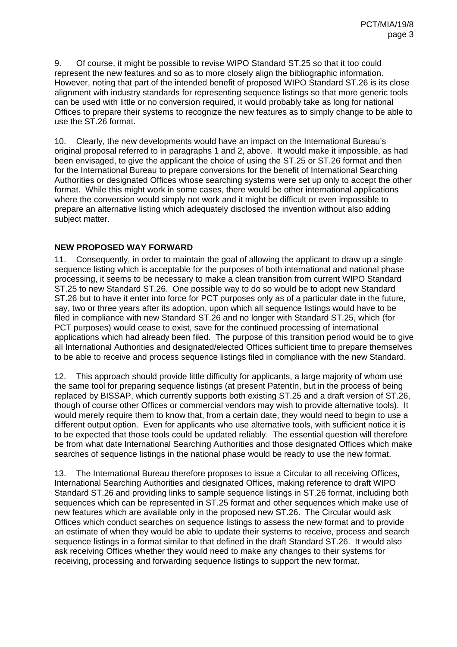9. Of course, it might be possible to revise WIPO Standard ST.25 so that it too could represent the new features and so as to more closely align the bibliographic information. However, noting that part of the intended benefit of proposed WIPO Standard ST.26 is its close alignment with industry standards for representing sequence listings so that more generic tools can be used with little or no conversion required, it would probably take as long for national Offices to prepare their systems to recognize the new features as to simply change to be able to use the ST.26 format.

10. Clearly, the new developments would have an impact on the International Bureau's original proposal referred to in paragraphs 1 and 2, above. It would make it impossible, as had been envisaged, to give the applicant the choice of using the ST.25 or ST.26 format and then for the International Bureau to prepare conversions for the benefit of International Searching Authorities or designated Offices whose searching systems were set up only to accept the other format. While this might work in some cases, there would be other international applications where the conversion would simply not work and it might be difficult or even impossible to prepare an alternative listing which adequately disclosed the invention without also adding subject matter.

#### **NEW PROPOSED WAY FORWARD**

11. Consequently, in order to maintain the goal of allowing the applicant to draw up a single sequence listing which is acceptable for the purposes of both international and national phase processing, it seems to be necessary to make a clean transition from current WIPO Standard ST.25 to new Standard ST.26. One possible way to do so would be to adopt new Standard ST.26 but to have it enter into force for PCT purposes only as of a particular date in the future, say, two or three years after its adoption, upon which all sequence listings would have to be filed in compliance with new Standard ST.26 and no longer with Standard ST.25, which (for PCT purposes) would cease to exist, save for the continued processing of international applications which had already been filed. The purpose of this transition period would be to give all International Authorities and designated/elected Offices sufficient time to prepare themselves to be able to receive and process sequence listings filed in compliance with the new Standard.

12. This approach should provide little difficulty for applicants, a large majority of whom use the same tool for preparing sequence listings (at present PatentIn, but in the process of being replaced by BISSAP, which currently supports both existing ST.25 and a draft version of ST.26, though of course other Offices or commercial vendors may wish to provide alternative tools). It would merely require them to know that, from a certain date, they would need to begin to use a different output option. Even for applicants who use alternative tools, with sufficient notice it is to be expected that those tools could be updated reliably. The essential question will therefore be from what date International Searching Authorities and those designated Offices which make searches of sequence listings in the national phase would be ready to use the new format.

13. The International Bureau therefore proposes to issue a Circular to all receiving Offices, International Searching Authorities and designated Offices, making reference to draft WIPO Standard ST.26 and providing links to sample sequence listings in ST.26 format, including both sequences which can be represented in ST.25 format and other sequences which make use of new features which are available only in the proposed new ST.26. The Circular would ask Offices which conduct searches on sequence listings to assess the new format and to provide an estimate of when they would be able to update their systems to receive, process and search sequence listings in a format similar to that defined in the draft Standard ST.26. It would also ask receiving Offices whether they would need to make any changes to their systems for receiving, processing and forwarding sequence listings to support the new format.